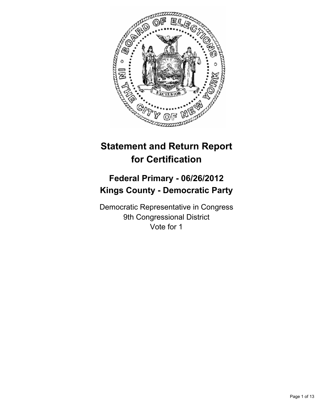

# **Statement and Return Report for Certification**

## **Federal Primary - 06/26/2012 Kings County - Democratic Party**

Democratic Representative in Congress 9th Congressional District Vote for 1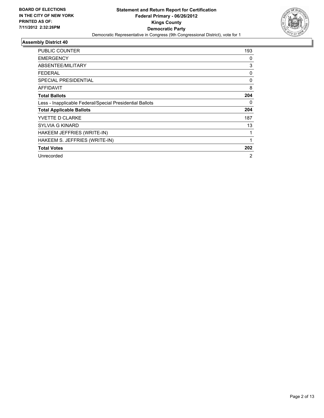

| PUBLIC COUNTER                                           | 193 |
|----------------------------------------------------------|-----|
| <b>EMERGENCY</b>                                         | 0   |
| <b>ABSENTEE/MILITARY</b>                                 | 3   |
| <b>FEDERAL</b>                                           | 0   |
| <b>SPECIAL PRESIDENTIAL</b>                              | 0   |
| AFFIDAVIT                                                | 8   |
| <b>Total Ballots</b>                                     | 204 |
| Less - Inapplicable Federal/Special Presidential Ballots | 0   |
| <b>Total Applicable Ballots</b>                          | 204 |
| YVETTE D CLARKE                                          | 187 |
| <b>SYLVIA G KINARD</b>                                   | 13  |
| HAKEEM JEFFRIES (WRITE-IN)                               | 1   |
| HAKEEM S. JEFFRIES (WRITE-IN)                            | 1   |
| <b>Total Votes</b>                                       | 202 |
| Unrecorded                                               | 2   |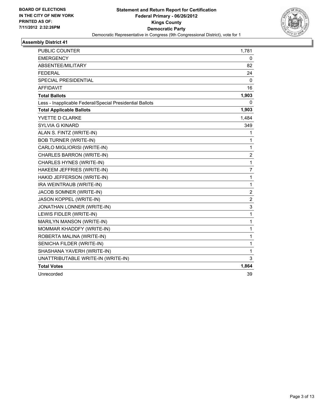

| <b>PUBLIC COUNTER</b>                                    | 1,781            |
|----------------------------------------------------------|------------------|
| <b>EMERGENCY</b>                                         | 0                |
| ABSENTEE/MILITARY                                        | 82               |
| <b>FEDERAL</b>                                           | 24               |
| SPECIAL PRESIDENTIAL                                     | 0                |
| <b>AFFIDAVIT</b>                                         | 16               |
| <b>Total Ballots</b>                                     | 1,903            |
| Less - Inapplicable Federal/Special Presidential Ballots | 0                |
| <b>Total Applicable Ballots</b>                          | 1,903            |
| YVETTE D CLARKE                                          | 1,484            |
| <b>SYLVIA G KINARD</b>                                   | 349              |
| ALAN S. FINTZ (WRITE-IN)                                 | 1                |
| <b>BOB TURNER (WRITE-IN)</b>                             | 1                |
| CARLO MIGLIORISI (WRITE-IN)                              | 1                |
| CHARLES BARRON (WRITE-IN)                                | $\overline{2}$   |
| CHARLES HYNES (WRITE-IN)                                 | 1                |
| HAKEEM JEFFRIES (WRITE-IN)                               | $\overline{7}$   |
| HAKID JEFFERSON (WRITE-IN)                               | 1                |
| IRA WEINTRAUB (WRITE-IN)                                 | 1                |
| JACOB SOMNER (WRITE-IN)                                  | $\boldsymbol{2}$ |
| JASON KOPPEL (WRITE-IN)                                  | $\overline{2}$   |
| JONATHAN LONNER (WRITE-IN)                               | 3                |
| LEWIS FIDLER (WRITE-IN)                                  | 1                |
| MARILYN MANSON (WRITE-IN)                                | 1                |
| MOMMAR KHADDFY (WRITE-IN)                                | 1                |
| ROBERTA MALINA (WRITE-IN)                                | 1                |
| SENICHA FILDER (WRITE-IN)                                | 1                |
| SHASHANA YAVERH (WRITE-IN)                               | 1                |
| UNATTRIBUTABLE WRITE-IN (WRITE-IN)                       | 3                |
| <b>Total Votes</b>                                       | 1,864            |
| Unrecorded                                               | 39               |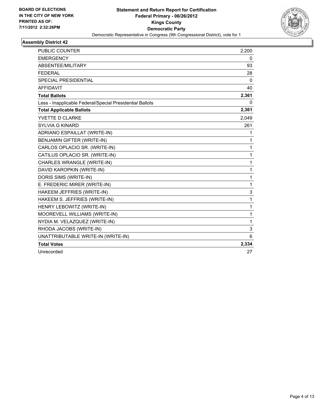

| <b>PUBLIC COUNTER</b>                                    | 2,200        |
|----------------------------------------------------------|--------------|
| <b>EMERGENCY</b>                                         | 0            |
| ABSENTEE/MILITARY                                        | 93           |
| <b>FEDERAL</b>                                           | 28           |
| <b>SPECIAL PRESIDENTIAL</b>                              | $\mathbf{0}$ |
| <b>AFFIDAVIT</b>                                         | 40           |
| <b>Total Ballots</b>                                     | 2,361        |
| Less - Inapplicable Federal/Special Presidential Ballots | 0            |
| <b>Total Applicable Ballots</b>                          | 2,361        |
| YVETTE D CLARKE                                          | 2,049        |
| <b>SYLVIA G KINARD</b>                                   | 261          |
| ADRIANO ESPAILLAT (WRITE-IN)                             | 1            |
| <b>BENJAMIN GIFTER (WRITE-IN)</b>                        | 1            |
| CARLOS OPLACIO SR. (WRITE-IN)                            | $\mathbf{1}$ |
| CATILUS OPLACIO SR. (WRITE-IN)                           | 1            |
| CHARLES WRANGLE (WRITE-IN)                               | 1            |
| DAVID KAROPKIN (WRITE-IN)                                | $\mathbf{1}$ |
| DORIS SIMS (WRITE-IN)                                    | $\mathbf{1}$ |
| E. FREDERIC MIRER (WRITE-IN)                             | $\mathbf{1}$ |
| HAKEEM JEFFRIES (WRITE-IN)                               | 3            |
| HAKEEM S. JEFFRIES (WRITE-IN)                            | 1            |
| HENRY LEBOWITZ (WRITE-IN)                                | 1            |
| MOOREVELL WILLIAMS (WRITE-IN)                            | 1            |
| NYDIA M. VELAZQUEZ (WRITE-IN)                            | $\mathbf{1}$ |
| RHODA JACOBS (WRITE-IN)                                  | 3            |
| UNATTRIBUTABLE WRITE-IN (WRITE-IN)                       | 6            |
| <b>Total Votes</b>                                       | 2,334        |
| Unrecorded                                               | 27           |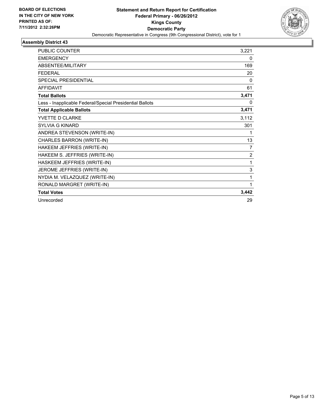

| <b>PUBLIC COUNTER</b>                                    | 3,221          |
|----------------------------------------------------------|----------------|
| <b>EMERGENCY</b>                                         | 0              |
| ABSENTEE/MILITARY                                        | 169            |
| <b>FFDFRAL</b>                                           | 20             |
| <b>SPECIAL PRESIDENTIAL</b>                              | $\Omega$       |
| <b>AFFIDAVIT</b>                                         | 61             |
| <b>Total Ballots</b>                                     | 3,471          |
| Less - Inapplicable Federal/Special Presidential Ballots | 0              |
| <b>Total Applicable Ballots</b>                          | 3,471          |
| YVETTE D CLARKE                                          | 3,112          |
| <b>SYLVIA G KINARD</b>                                   | 301            |
| ANDREA STEVENSON (WRITE-IN)                              | 1              |
| CHARLES BARRON (WRITE-IN)                                | 13             |
| HAKEEM JEFFRIES (WRITE-IN)                               | $\overline{7}$ |
| HAKEEM S. JEFFRIES (WRITE-IN)                            | 2              |
| HASKEEM JEFFRIES (WRITE-IN)                              | 1              |
| JEROME JEFFRIES (WRITE-IN)                               | 3              |
| NYDIA M. VELAZQUEZ (WRITE-IN)                            | 1              |
| RONALD MARGRET (WRITE-IN)                                | 1              |
| <b>Total Votes</b>                                       | 3,442          |
| Unrecorded                                               | 29             |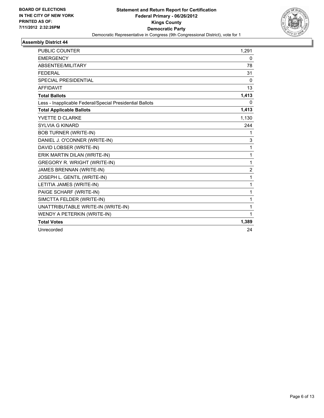

| PUBLIC COUNTER                                           | 1,291        |
|----------------------------------------------------------|--------------|
| <b>EMERGENCY</b>                                         | 0            |
| ABSENTEE/MILITARY                                        | 78           |
| <b>FEDERAL</b>                                           | 31           |
| <b>SPECIAL PRESIDENTIAL</b>                              | 0            |
| <b>AFFIDAVIT</b>                                         | 13           |
| <b>Total Ballots</b>                                     | 1,413        |
| Less - Inapplicable Federal/Special Presidential Ballots | $\Omega$     |
| <b>Total Applicable Ballots</b>                          | 1,413        |
| YVETTE D CLARKE                                          | 1,130        |
| <b>SYLVIA G KINARD</b>                                   | 244          |
| <b>BOB TURNER (WRITE-IN)</b>                             | 1            |
| DANIEL J. O'CONNER (WRITE-IN)                            | 3            |
| DAVID LOBSER (WRITE-IN)                                  | 1            |
| ERIK MARTIN DILAN (WRITE-IN)                             | $\mathbf{1}$ |
| <b>GREGORY R. WRIGHT (WRITE-IN)</b>                      | 1            |
| <b>JAMES BRENNAN (WRITE-IN)</b>                          | 2            |
| JOSEPH L. GENTIL (WRITE-IN)                              | 1            |
| LETITIA JAMES (WRITE-IN)                                 | $\mathbf{1}$ |
| PAIGE SCHARF (WRITE-IN)                                  | 1            |
| SIMCTTA FELDER (WRITE-IN)                                | 1            |
| UNATTRIBUTABLE WRITE-IN (WRITE-IN)                       | 1            |
| WENDY A PETERKIN (WRITE-IN)                              | 1            |
| <b>Total Votes</b>                                       | 1,389        |
| Unrecorded                                               | 24           |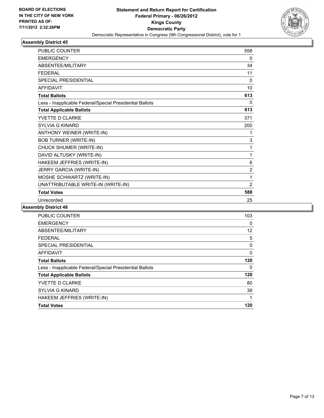

| <b>PUBLIC COUNTER</b>                                    | 558            |
|----------------------------------------------------------|----------------|
| <b>EMERGENCY</b>                                         | 0              |
| ABSENTEE/MILITARY                                        | 34             |
| <b>FFDFRAL</b>                                           | 11             |
| SPECIAL PRESIDENTIAL                                     | 0              |
| <b>AFFIDAVIT</b>                                         | 10             |
| <b>Total Ballots</b>                                     | 613            |
| Less - Inapplicable Federal/Special Presidential Ballots | $\mathbf{0}$   |
| <b>Total Applicable Ballots</b>                          | 613            |
| YVETTE D CLARKE                                          | 371            |
| <b>SYLVIA G KINARD</b>                                   | 200            |
| ANTHONY WEINER (WRITE-IN)                                | 1              |
| <b>BOB TURNER (WRITE-IN)</b>                             | 3              |
| CHUCK SHUMER (WRITE-IN)                                  | 1              |
| DAVID ALTUSKY (WRITE-IN)                                 | 1              |
| HAKEEM JEFFRIES (WRITE-IN)                               | 6              |
| JERRY GARCIA (WRITE-IN)                                  | $\overline{2}$ |
| MOSHE SCHWARTZ (WRITE-IN)                                | 1              |
| UNATTRIBUTABLE WRITE-IN (WRITE-IN)                       | 2              |
| <b>Total Votes</b>                                       | 588            |
| Unrecorded                                               | 25             |

| <b>PUBLIC COUNTER</b>                                    | 103      |
|----------------------------------------------------------|----------|
| <b>EMERGENCY</b>                                         | 0        |
| ABSENTEE/MILITARY                                        | 12       |
| <b>FEDERAL</b>                                           | 5        |
| SPECIAL PRESIDENTIAL                                     | 0        |
| <b>AFFIDAVIT</b>                                         | $\Omega$ |
| <b>Total Ballots</b>                                     | 120      |
| Less - Inapplicable Federal/Special Presidential Ballots | 0        |
| <b>Total Applicable Ballots</b>                          | 120      |
| YVETTE D CLARKE                                          | 80       |
| <b>SYLVIA G KINARD</b>                                   | 39       |
| HAKEEM JEFFRIES (WRITE-IN)                               | 1        |
| <b>Total Votes</b>                                       | 120      |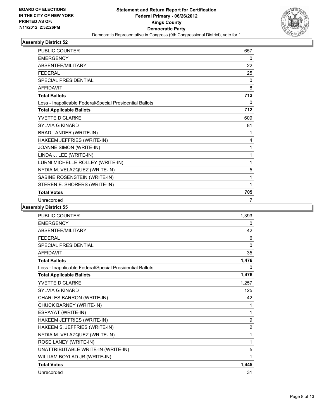

| <b>PUBLIC COUNTER</b>                                    | 657 |
|----------------------------------------------------------|-----|
| <b>EMERGENCY</b>                                         | 0   |
| ABSENTEE/MILITARY                                        | 22  |
| <b>FEDERAL</b>                                           | 25  |
| <b>SPECIAL PRESIDENTIAL</b>                              | 0   |
| <b>AFFIDAVIT</b>                                         | 8   |
| <b>Total Ballots</b>                                     | 712 |
| Less - Inapplicable Federal/Special Presidential Ballots | 0   |
| <b>Total Applicable Ballots</b>                          | 712 |
| YVETTE D CLARKE                                          | 609 |
| SYI VIA G KINARD                                         | 81  |
| BRAD LANDER (WRITE-IN)                                   | 1   |
| HAKEEM JEFFRIES (WRITE-IN)                               | 4   |
| JOANNE SIMON (WRITE-IN)                                  | 1   |
| LINDA J. LEE (WRITE-IN)                                  | 1   |
| LURNI MICHELLE ROLLEY (WRITE-IN)                         | 1   |
| NYDIA M. VELAZQUEZ (WRITE-IN)                            | 5   |
| SABINE ROSENSTEIN (WRITE-IN)                             | 1   |
| STEREN E. SHORERS (WRITE-IN)                             | 1   |
| <b>Total Votes</b>                                       | 705 |
| Unrecorded                                               | 7   |

| <b>PUBLIC COUNTER</b>                                    | 1,393          |
|----------------------------------------------------------|----------------|
| <b>EMERGENCY</b>                                         | 0              |
| ABSENTEE/MILITARY                                        | 42             |
| <b>FEDERAL</b>                                           | 6              |
| <b>SPECIAL PRESIDENTIAL</b>                              | $\mathbf{0}$   |
| <b>AFFIDAVIT</b>                                         | 35             |
| <b>Total Ballots</b>                                     | 1,476          |
| Less - Inapplicable Federal/Special Presidential Ballots | 0              |
| <b>Total Applicable Ballots</b>                          | 1,476          |
| YVETTE D CLARKE                                          | 1,257          |
| <b>SYLVIA G KINARD</b>                                   | 125            |
| CHARLES BARRON (WRITE-IN)                                | 42             |
| CHUCK BARNEY (WRITE-IN)                                  | 1              |
| ESPAYAT (WRITE-IN)                                       | 1              |
| HAKEEM JEFFRIES (WRITE-IN)                               | 9              |
| HAKEEM S. JEFFRIES (WRITE-IN)                            | $\overline{2}$ |
| NYDIA M. VELAZQUEZ (WRITE-IN)                            | 1              |
| ROSE LANEY (WRITE-IN)                                    | 1              |
| UNATTRIBUTABLE WRITE-IN (WRITE-IN)                       | 5              |
| WILLIAM BOYLAD JR (WRITE-IN)                             | 1              |
| <b>Total Votes</b>                                       | 1,445          |
| Unrecorded                                               | 31             |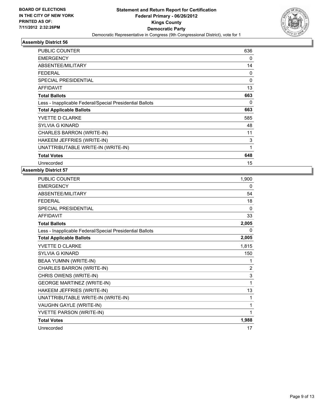

| PUBLIC COUNTER                                           | 636      |
|----------------------------------------------------------|----------|
| <b>EMERGENCY</b>                                         | 0        |
| ABSENTEE/MILITARY                                        | 14       |
| FEDERAL                                                  | 0        |
| <b>SPECIAL PRESIDENTIAL</b>                              | $\Omega$ |
| <b>AFFIDAVIT</b>                                         | 13       |
| <b>Total Ballots</b>                                     | 663      |
| Less - Inapplicable Federal/Special Presidential Ballots | 0        |
| <b>Total Applicable Ballots</b>                          | 663      |
| <b>YVETTE D CLARKE</b>                                   | 585      |
| <b>SYLVIA G KINARD</b>                                   | 48       |
| CHARLES BARRON (WRITE-IN)                                | 11       |
| HAKEEM JEFFRIES (WRITE-IN)                               | 3        |
| UNATTRIBUTABLE WRITE-IN (WRITE-IN)                       | 1        |
| <b>Total Votes</b>                                       | 648      |
| Unrecorded                                               | 15       |

| PUBLIC COUNTER                                           | 1,900 |
|----------------------------------------------------------|-------|
| <b>EMERGENCY</b>                                         | 0     |
| ABSENTEE/MILITARY                                        | 54    |
| <b>FEDERAL</b>                                           | 18    |
| <b>SPECIAL PRESIDENTIAL</b>                              | 0     |
| <b>AFFIDAVIT</b>                                         | 33    |
| <b>Total Ballots</b>                                     | 2,005 |
| Less - Inapplicable Federal/Special Presidential Ballots | 0     |
| <b>Total Applicable Ballots</b>                          | 2,005 |
| YVETTE D CLARKE                                          | 1,815 |
| <b>SYLVIA G KINARD</b>                                   | 150   |
| BEAA YUMNN (WRITE-IN)                                    | 1     |
| CHARLES BARRON (WRITE-IN)                                | 2     |
| CHRIS OWENS (WRITE-IN)                                   | 3     |
| <b>GEORGE MARTINEZ (WRITE-IN)</b>                        | 1     |
| HAKEEM JEFFRIES (WRITE-IN)                               | 13    |
| UNATTRIBUTABLE WRITE-IN (WRITE-IN)                       | 1     |
| VAUGHN GAYLE (WRITE-IN)                                  | 1     |
| YVETTE PARSON (WRITE-IN)                                 | 1     |
| <b>Total Votes</b>                                       | 1,988 |
| Unrecorded                                               | 17    |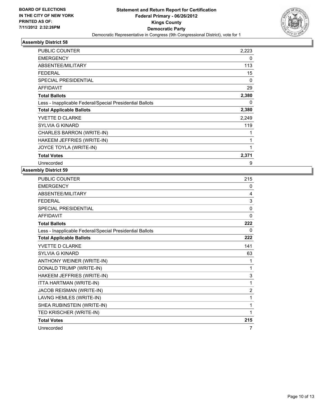

| <b>PUBLIC COUNTER</b>                                    | 2,223    |
|----------------------------------------------------------|----------|
| <b>EMERGENCY</b>                                         | 0        |
| ABSENTEE/MILITARY                                        | 113      |
| <b>FEDERAL</b>                                           | 15       |
| <b>SPECIAL PRESIDENTIAL</b>                              | 0        |
| <b>AFFIDAVIT</b>                                         | 29       |
| <b>Total Ballots</b>                                     | 2,380    |
| Less - Inapplicable Federal/Special Presidential Ballots | $\Omega$ |
| <b>Total Applicable Ballots</b>                          | 2,380    |
| YVETTE D CLARKE                                          | 2,249    |
| <b>SYLVIA G KINARD</b>                                   | 119      |
| CHARLES BARRON (WRITE-IN)                                | 1        |
| HAKEEM JEFFRIES (WRITE-IN)                               | 1        |
| JOYCE TOYLA (WRITE-IN)                                   | 1        |
| <b>Total Votes</b>                                       | 2,371    |
| Unrecorded                                               | 9        |

| <b>PUBLIC COUNTER</b>                                    | 215            |
|----------------------------------------------------------|----------------|
| <b>EMERGENCY</b>                                         | 0              |
| ABSENTEE/MILITARY                                        | 4              |
| <b>FFDFRAI</b>                                           | 3              |
| SPECIAL PRESIDENTIAL                                     | $\Omega$       |
| <b>AFFIDAVIT</b>                                         | $\mathbf{0}$   |
| <b>Total Ballots</b>                                     | 222            |
| Less - Inapplicable Federal/Special Presidential Ballots | 0              |
| <b>Total Applicable Ballots</b>                          | 222            |
| YVETTE D CLARKE                                          | 141            |
| SYI VIA G KINARD                                         | 63             |
| ANTHONY WEINER (WRITE-IN)                                | 1              |
| DONALD TRUMP (WRITE-IN)                                  | 1              |
| HAKEEM JEFFRIES (WRITE-IN)                               | 3              |
| ITTA HARTMAN (WRITE-IN)                                  | 1              |
| JACOB REISMAN (WRITE-IN)                                 | $\overline{2}$ |
| LAVNG HEMLES (WRITE-IN)                                  | 1              |
| SHEA RUBINSTEIN (WRITE-IN)                               | 1              |
| TED KRISCHER (WRITE-IN)                                  | 1              |
| <b>Total Votes</b>                                       | 215            |
| Unrecorded                                               | 7              |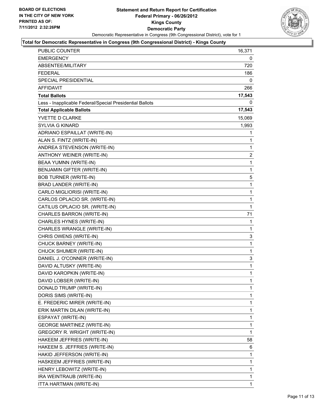

## **Total for Democratic Representative in Congress (9th Congressional District) - Kings County**

| EMERGENCY<br>ABSENTEE/MILITARY                           | 0           |
|----------------------------------------------------------|-------------|
|                                                          |             |
|                                                          | 720         |
| FEDERAL                                                  | 186         |
| SPECIAL PRESIDENTIAL                                     | 0           |
| <b>AFFIDAVIT</b>                                         | 266         |
| <b>Total Ballots</b>                                     | 17,543      |
| Less - Inapplicable Federal/Special Presidential Ballots | 0           |
| <b>Total Applicable Ballots</b>                          | 17,543      |
| <b>YVETTE D CLARKE</b>                                   | 15,069      |
| <b>SYLVIA G KINARD</b>                                   | 1,993       |
| ADRIANO ESPAILLAT (WRITE-IN)                             | 1           |
| ALAN S. FINTZ (WRITE-IN)                                 | 1           |
| ANDREA STEVENSON (WRITE-IN)                              | 1           |
| ANTHONY WEINER (WRITE-IN)                                | 2           |
| BEAA YUMNN (WRITE-IN)                                    | 1           |
| <b>BENJAMIN GIFTER (WRITE-IN)</b>                        | 1           |
| <b>BOB TURNER (WRITE-IN)</b>                             | 5           |
| BRAD LANDER (WRITE-IN)                                   | 1           |
| CARLO MIGLIORISI (WRITE-IN)                              | 1           |
| CARLOS OPLACIO SR. (WRITE-IN)                            | 1           |
| CATILUS OPLACIO SR. (WRITE-IN)                           | 1           |
| CHARLES BARRON (WRITE-IN)                                | 71          |
| CHARLES HYNES (WRITE-IN)                                 | 1           |
| CHARLES WRANGLE (WRITE-IN)                               | 1           |
| CHRIS OWENS (WRITE-IN)                                   | 3           |
| CHUCK BARNEY (WRITE-IN)                                  | 1           |
| CHUCK SHUMER (WRITE-IN)                                  | $\mathbf 1$ |
| DANIEL J. O'CONNER (WRITE-IN)                            | 3           |
| DAVID ALTUSKY (WRITE-IN)                                 | 1           |
| DAVID KAROPKIN (WRITE-IN)                                | 1           |
| DAVID LOBSER (WRITE-IN)                                  | 1           |
| DONALD TRUMP (WRITE-IN)                                  | $\mathbf 1$ |
| DORIS SIMS (WRITE-IN)                                    | 1           |
| E. FREDERIC MIRER (WRITE-IN)                             | 1           |
| ERIK MARTIN DILAN (WRITE-IN)                             | 1           |
| ESPAYAT (WRITE-IN)                                       | 1           |
| <b>GEORGE MARTINEZ (WRITE-IN)</b>                        | 1           |
| GREGORY R. WRIGHT (WRITE-IN)                             | 1           |
| HAKEEM JEFFRIES (WRITE-IN)                               | 58          |
| HAKEEM S. JEFFRIES (WRITE-IN)                            | 6           |
| HAKID JEFFERSON (WRITE-IN)                               | 1           |
| HASKEEM JEFFRIES (WRITE-IN)                              | 1           |
| HENRY LEBOWITZ (WRITE-IN)                                | 1           |
| IRA WEINTRAUB (WRITE-IN)                                 | 1           |
| ITTA HARTMAN (WRITE-IN)                                  | 1           |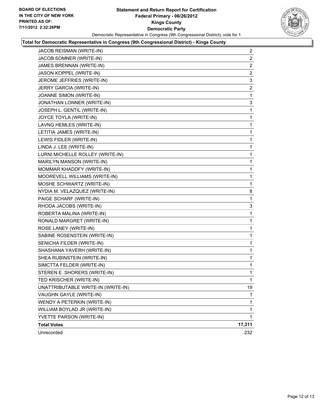

## **Total for Democratic Representative in Congress (9th Congressional District) - Kings County**

| JACOB REISMAN (WRITE-IN)           | 2              |
|------------------------------------|----------------|
| JACOB SOMNER (WRITE-IN)            | $\overline{a}$ |
| JAMES BRENNAN (WRITE-IN)           | 2              |
| JASON KOPPEL (WRITE-IN)            | $\overline{2}$ |
| JEROME JEFFRIES (WRITE-IN)         | 3              |
| JERRY GARCIA (WRITE-IN)            | 2              |
| JOANNE SIMON (WRITE-IN)            | 1              |
| JONATHAN LONNER (WRITE-IN)         | 3              |
| JOSEPH L. GENTIL (WRITE-IN)        | 1              |
| JOYCE TOYLA (WRITE-IN)             | 1              |
| LAVNG HEMLES (WRITE-IN)            | 1              |
| LETITIA JAMES (WRITE-IN)           | 1              |
| LEWIS FIDLER (WRITE-IN)            | 1              |
| LINDA J. LEE (WRITE-IN)            | 1              |
| LURNI MICHELLE ROLLEY (WRITE-IN)   | 1              |
| MARILYN MANSON (WRITE-IN)          | 1              |
| MOMMAR KHADDFY (WRITE-IN)          | 1              |
| MOOREVELL WILLIAMS (WRITE-IN)      | 1              |
| MOSHE SCHWARTZ (WRITE-IN)          | 1              |
| NYDIA M. VELAZQUEZ (WRITE-IN)      | 8              |
| PAIGE SCHARF (WRITE-IN)            | 1              |
| RHODA JACOBS (WRITE-IN)            | 3              |
| ROBERTA MALINA (WRITE-IN)          | 1              |
| RONALD MARGRET (WRITE-IN)          | 1              |
| ROSE LANEY (WRITE-IN)              | 1              |
| SABINE ROSENSTEIN (WRITE-IN)       | 1              |
| SENICHA FILDER (WRITE-IN)          | 1              |
| SHASHANA YAVERH (WRITE-IN)         | 1              |
| SHEA RUBINSTEIN (WRITE-IN)         | 1              |
| SIMCTTA FELDER (WRITE-IN)          | 1              |
| STEREN E. SHORERS (WRITE-IN)       | 1              |
| TED KRISCHER (WRITE-IN)            | 1              |
| UNATTRIBUTABLE WRITE-IN (WRITE-IN) | 19             |
| VAUGHN GAYLE (WRITE-IN)            | 1              |
| WENDY A PETERKIN (WRITE-IN)        | 1              |
| WILLIAM BOYLAD JR (WRITE-IN)       | $\mathbf{1}$   |
| YVETTE PARSON (WRITE-IN)           | $\mathbf{1}$   |
| <b>Total Votes</b>                 | 17,311         |
| Unrecorded                         | 232            |